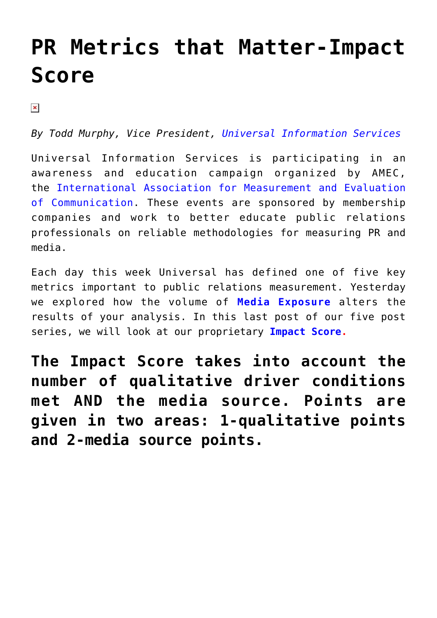## **[PR Metrics that Matter-Impact](https://www.commpro.biz/pr-metrics-that-matter-impact-score/) [Score](https://www.commpro.biz/pr-metrics-that-matter-impact-score/)**

 $\pmb{\times}$ 

*By Todd Murphy, Vice President, [Universal Information Services](https://www.universal-info.com/)*

Universal Information Services is participating in an awareness and education campaign organized by AMEC, the [International Association for Measurement and Evaluation](https://amecorg.com/2016/07/amec-measurement-month-2016/) [of Communication.](https://amecorg.com/2016/07/amec-measurement-month-2016/) These events are sponsored by membership companies and work to better educate public relations professionals on reliable methodologies for measuring PR and media.

Each day this week Universal has defined one of five key metrics important to public relations measurement. Yesterday we explored how the volume of **[Media Exposure](https://www.commpro.biz/image-innovation/pr-metrics-that-matter-media-exposure/)** alters the results of your analysis. In this last post of our five post series, we will look at our proprietary **[Impact Score](https://universal-info.com/wp-content/uploads/2016/09/Impact-Score-Graphic.jpg).**

**The Impact Score takes into account the number of qualitative driver conditions met AND the media source. Points are given in two areas: 1-qualitative points and 2-media source points.**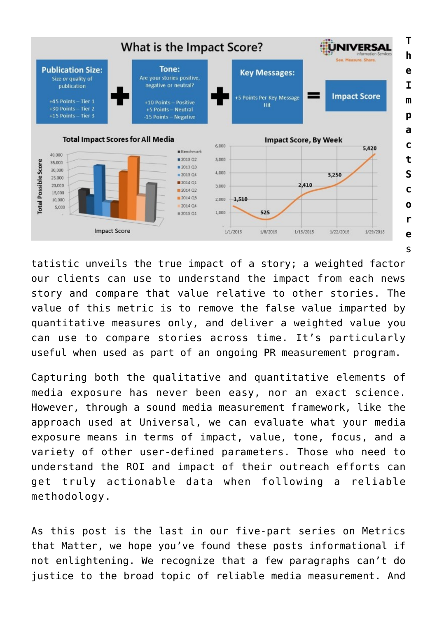

tatistic unveils the true impact of a story; a weighted factor our clients can use to understand the impact from each news story and compare that value relative to other stories. The value of this metric is to remove the false value imparted by quantitative measures only, and deliver a weighted value you can use to compare stories across time. It's particularly useful when used as part of an ongoing PR measurement program.

Capturing both the qualitative and quantitative elements of media exposure has never been easy, nor an exact science. However, through a sound media measurement framework, like the approach used at Universal, we can evaluate what your media exposure means in terms of impact, value, tone, focus, and a variety of other user-defined parameters. Those who need to understand the ROI and impact of their outreach efforts can get truly actionable data when following a reliable methodology.

As this post is the last in our five-part series on Metrics that Matter, we hope you've found these posts informational if not enlightening. We recognize that a few paragraphs can't do justice to the broad topic of reliable media measurement. And